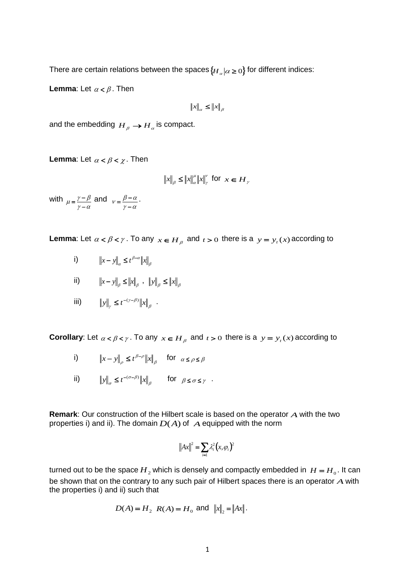There are certain relations between the spaces  $\{ {H}_\alpha | \alpha\geq 0\}$  for different indices:

**Lemma:** Let  $\alpha < \beta$ . Then

$$
||x||_{\alpha} \leq ||x||_{\beta}
$$

and the embedding  $\overline{H}_{\overline{\beta}} \to \overline{H}_{\alpha}$  is compact.

**Lemma**: Let  $\alpha < \beta < \chi$  . Then

$$
||x||_{\beta} \le ||x||_{\alpha}^{\mu} ||x||_{\gamma}^{\nu} \text{ for } x \in H_{\gamma}
$$

with  $\gamma - \alpha$  $\mu = \frac{\gamma - \beta}{\gamma - \alpha}$  $=\frac{\gamma-\beta}{2}$  and  $\gamma - \alpha$  $v = \frac{\beta - \alpha}{\gamma - \alpha}$  $=\frac{\beta-\alpha}{\alpha}$ .

**Lemma**: Let  $\alpha < \beta < \gamma$ . To any  $x \in H_\beta$  and  $t > 0$  there is a  $y = y_t(x)$  according to

- i)  $||x y||_{\alpha} \leq t^{\beta \alpha} ||x||_{\beta}$  $||x - y||_{\alpha} \leq t^{\beta - \alpha} ||x||$
- ii)  $\|x y\|_{\beta} \le \|x\|_{\beta}$ ,  $\|y\|_{\beta} \le \|x\|_{\beta}$
- iii)  $||y||_y \le t^{-(\gamma-\beta)} ||x||_{\beta}$  $\gamma-\beta$  $y\|_{\gamma} \leq t^{-(\gamma-\beta)} \|x\|_{\beta}$ .

**Corollary**: Let  $\alpha < \beta < \gamma$ . To any  $x \in H_\beta$  and  $t > 0$  there is a  $y = y_t(x)$  according to

- i)  $||x y||_{\rho} \le t^{\beta \rho} ||x||_{\beta}$  $_{\beta-\rho}$  $||x - y||_{\rho} \le t^{\beta - \rho} ||x||_{\beta}$  for  $\alpha \le \rho \le \beta$
- ii)  $||y||_{\sigma} \leq t^{-(\sigma-\beta)} ||x||_{\beta}$  $\|y\|_{\sigma} \leq t^{-(\sigma-\beta)} \|x\|_{\beta}$  for  $\beta \leq \sigma \leq \gamma$

**Remark**: Our construction of the Hilbert scale is based on the operator *A* with the two properties i) and ii). The domain  $D(A)$  of  $A$  equipped with the norm

$$
||Ax||^2 = \sum_{i=1} \lambda_i^2 (x, \varphi_i)^2
$$

turned out to be the space  $H_2$  which is densely and compactly embedded in  $H = H_0$ . It can be shown that on the contrary to any such pair of Hilbert spaces there is an operator *A* with the properties i) and ii) such that

$$
D(A) = H_2
$$
  $R(A) = H_0$  and  $||x||_2 = ||Ax||$ .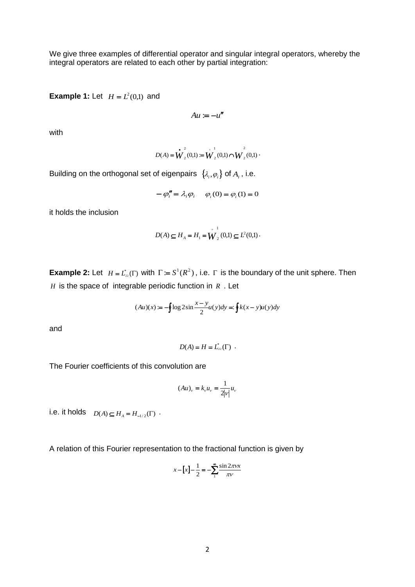We give three examples of differential operator and singular integral operators, whereby the integral operators are related to each other by partial integration:

**Example 1:** Let  $H = L^2(0,1)$  and

 $Au \coloneqq -u''$ 

with

$$
D(A) = \mathbf{W}_2^2(0,1) := \mathbf{W}_2^1(0,1) \cap \mathbf{W}_2^2(0,1)
$$

Building on the orthogonal set of eigenpairs  $\,\{\lambda_{\scriptscriptstyle i}, \rho_{\scriptscriptstyle i}\}$  of  $A_{\scriptscriptstyle i}$  , i.e.

$$
-\varphi''_i = \lambda_i \varphi_i \qquad \varphi_i(0) = \varphi_i(1) = 0
$$

it holds the inclusion

$$
D(A) \subseteq H_A = H_1 = \overset{\circ}{W}_2^1(0,1) \subseteq L^2(0,1)
$$

**Example 2:** Let  $H = L^*_{22}(\Gamma)$  with  $\Gamma := S^1(R^2)$ , i.e.  $\Gamma$  is the boundary of the unit sphere. Then *H* is the space of integrable periodic function in *R* . Let

$$
(Au)(x) := -\oint \log 2\sin\frac{x-y}{2}u(y)dy =: \oint k(x-y)u(y)dy
$$

and

$$
D(A) = H = L_{22}^*(\Gamma) .
$$

The Fourier coefficients of this convolution are

$$
(Au)_v = k_v u_v = \frac{1}{2|v|} u_v
$$

i.e. it holds  $D(A) \subseteq H_A = H_{-1/2}(\Gamma)$ .

A relation of this Fourier representation to the fractional function is given by

$$
x - [x] - \frac{1}{2} = -\sum_{1}^{\infty} \frac{\sin 2\pi vx}{\pi v}
$$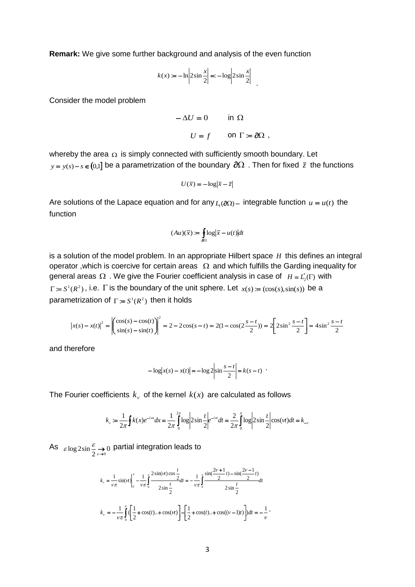**Remark:** We give some further background and analysis of the even function

$$
k(x) := -\ln\left|2\sin\frac{x}{2}\right| = -\log\left|2\sin\frac{x}{2}\right|
$$

Consider the model problem

$$
-\Delta U = 0 \qquad \text{in } \Omega
$$

$$
U = f \qquad \text{on } \Gamma := \partial\Omega ,
$$

whereby the area  $\Omega$  is simply connected with sufficiently smooth boundary. Let  $y = y(s) - s \in (0,1]$  be a parametrization of the boundary  $\partial \Omega$  . Then for fixed  $\bar{z}$  the functions

$$
U(\bar{x}) = -\log|\bar{x} - \bar{z}|
$$

Are solutions of the Lapace equation and for any  $L_1(\partial\Omega)$  – integrable function  $u = u(t)$  the function

$$
(Au)(\bar{x}) \coloneqq \int_{\partial\Omega} \log |\bar{x} - u(t)| dt
$$

is a solution of the model problem. In an appropriate Hilbert space *H* this defines an integral operator, which is coercive for certain areas  $\Omega$  and which fulfills the Garding inequality for general areas  $\Omega$  . We give the Fourier coefficient analysis in case of  $H = L_2^*(\Gamma)$  with  $\Gamma = S^1(R^2)$ , i.e.  $\Gamma$  is the boundary of the unit sphere. Let  $x(s) = (\cos(s), \sin(s))$  be a parametrization of  $\Gamma = S^1(R^2)$  then it holds

$$
\left| x(s) - x(t) \right|^2 = \left| \begin{pmatrix} \cos(s) - \cos(t) \\ \sin(s) - \sin(t) \end{pmatrix} \right|^2 = 2 - 2\cos(s - t) = 2(1 - \cos(2\frac{s - t}{2})) = 2\left[ 2\sin^2\frac{s - t}{2} \right] = 4\sin^2\frac{s - t}{2}
$$

and therefore

$$
-\log |x(s) - x(t)| = -\log 2 \left| \sin \frac{s-t}{2} \right| = k(s-t)
$$

The Fourier coefficients  $k_{\nu}$  of the kernel  $k(x)$  are calculated as follows

$$
k_v := \frac{1}{2\pi} \oint k(x)e^{-i\alpha x} dx = \frac{1}{2\pi} \int_0^{2\pi} \log \left| 2\sin \frac{t}{2} \right| e^{-i\alpha t} dt = \frac{2}{2\pi} \int_0^{\pi} \log \left| 2\sin \frac{t}{2} \right| \cos(\alpha t) dt = k_{-v}
$$

As  $\varepsilon \log 2 \sin \frac{\varepsilon}{2} \rightarrow 0$  $\varepsilon$ log $2\sin \frac{\varepsilon}{2} \rightarrow 0$  partial integration leads to

$$
k_{v} = \frac{1}{v\pi} \sin(vt) \Big|_{0}^{\pi} - \frac{1}{v\pi} \int_{0}^{\pi} \frac{2 \sin(vt) \cos \frac{t}{2}}{2 \sin \frac{t}{2}} dt = -\frac{1}{v\pi} \int_{0}^{\pi} \frac{\sin(\frac{2v+1}{2}t) - \sin(\frac{2v-1}{2}t)}{2 \sin \frac{t}{2}} dt
$$

$$
k_{v} = -\frac{1}{v\pi} \int_{0}^{\pi} \left( \frac{1}{2} + \cos(t) \cdot \cdot + \cos(vt) \right) - \left[ \frac{1}{2} + \cos(t) \cdot \cdot + \cos((v-1)t) \right] dt = -\frac{1}{v}.
$$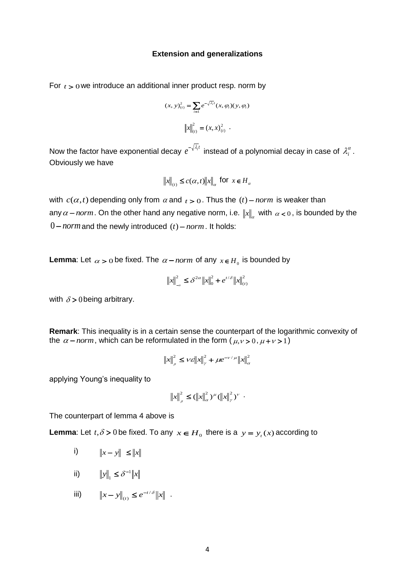## **Extension and generalizations**

For  $t > 0$  we introduce an additional inner product resp. norm by

$$
(x, y)(t)2 = \sum_{i=1} e^{-\sqrt{\lambda_i}t} (x, \varphi_i)(y, \varphi_i)
$$

$$
||x||_{(t)}^2 = (x, x)(t)2 .
$$

Now the factor have exponential decay  $e^{-\sqrt{\lambda_i}t}$  instead of a polynomial decay in case of  $\lambda_i^{\alpha}$ . Obviously we have

$$
\|x\|_{(t)} \le c(\alpha, t) \|x\|_{\alpha} \text{ for } x \in H_{\alpha}
$$

with  $c(\alpha, t)$  depending only from  $\alpha$  and  $t > 0$ . Thus the  $(t)$  – *norm* is weaker than any  $\alpha$  – norm. On the other hand any negative norm, i.e.  $||x||_{\alpha}$  with  $\alpha$  < 0, is bounded by the  $0$  – norm and the newly introduced  $(t)$  – norm. It holds:

**Lemma**: Let  $\alpha > 0$  be fixed. The  $\alpha$  – *norm* of any  $x \in H_0$  is bounded by

$$
\|x\|_{-\alpha}^2 \le \delta^{2\alpha} \|x\|_0^2 + e^{t/\delta} \|x\|_{(t)}^2
$$

with  $\delta$  > 0 being arbitrary.

**Remark**: This inequality is in a certain sense the counterpart of the logarithmic convexity of the  $\alpha$  – *norm*, which can be reformulated in the form ( $\mu$ ,  $\nu$  > 0,  $\mu$  +  $\nu$  > 1)

$$
\left\|x\right\|_{\rho}^{2} \leq \nu \varepsilon \left\|x\right\|_{\gamma}^{2} + \mu e^{-\nu/\mu} \left\|x\right\|_{\alpha}^{2}
$$

applying Young's inequality to

$$
||x||_{\rho}^{2} \leq (||x||_{\alpha}^{2})^{\mu} (||x||_{\gamma}^{2})^{\nu} .
$$

The counterpart of lemma 4 above is

**Lemma**: Let  $t, \delta > 0$  be fixed. To any  $x \in H_0$  there is a  $y = y_t(x)$  according to

- i)  $||x - y|| \le ||x||$
- ii)  $||y||_1 \leq \delta^{-1} ||x||_1$  $\delta_1$
- iii)  $||x y||_{(t)} \leq e^{-t/\delta} ||x|$ *t*  $/ \delta$  $(t)$  $- y \|_{(t)} \leq e^{-t/\delta} \|x\|$ .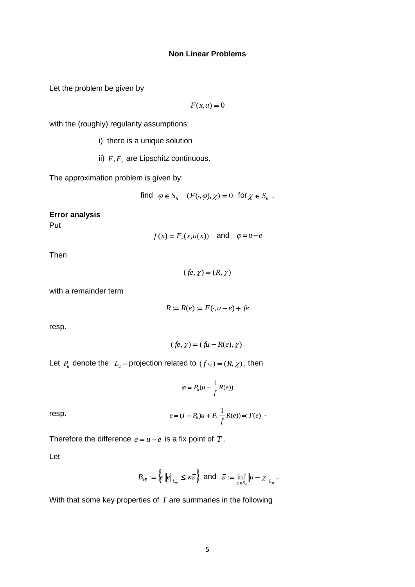Let the problem be given by

$$
F(x, u) = 0
$$

with the (roughly) regularity assumptions:

i) there is a unique solution

ii)  $F, F_u$  are Lipschitz continuous.

The approximation problem is given by:

find 
$$
\varphi \in S_h
$$
  $(F(\cdot, \varphi), \chi) = 0$  for  $\chi \in S_h$ .

## **Error analysis**

Put

$$
f(x) = F_u(x, u(x))
$$
 and  $\varphi = u - e$ 

Then

$$
(fe, \chi) = (R, \chi)
$$

with a remainder term

$$
R := R(e) := F(\cdot, u - e) + fe
$$

resp.

$$
(fe, \chi) = (fu - R(e), \chi).
$$

Let  $P_h$  denote the  $L_2$ -projection related to  $(f \cdot, \cdot) = (R, \chi)$ , then

$$
\varphi = P_h(u - \frac{1}{f}R(e))
$$

resp. 
$$
e = (I - P_h)u + P_h \frac{1}{f}R(e) = T(e)
$$
.

Therefore the difference 
$$
e = u - e
$$
 is a fix point of  $T$ .

Let

$$
B_{\kappa \bar{\varepsilon}} := \left\{ e \middle\| \|e\|_{L_{\infty}} \leq \kappa \bar{\varepsilon} \right\} \text{ and } \bar{\varepsilon} := \inf_{\chi \in S_h} \|u - \chi\|_{L_{\infty}}.
$$

With that some key properties of  $T$  are summaries in the following